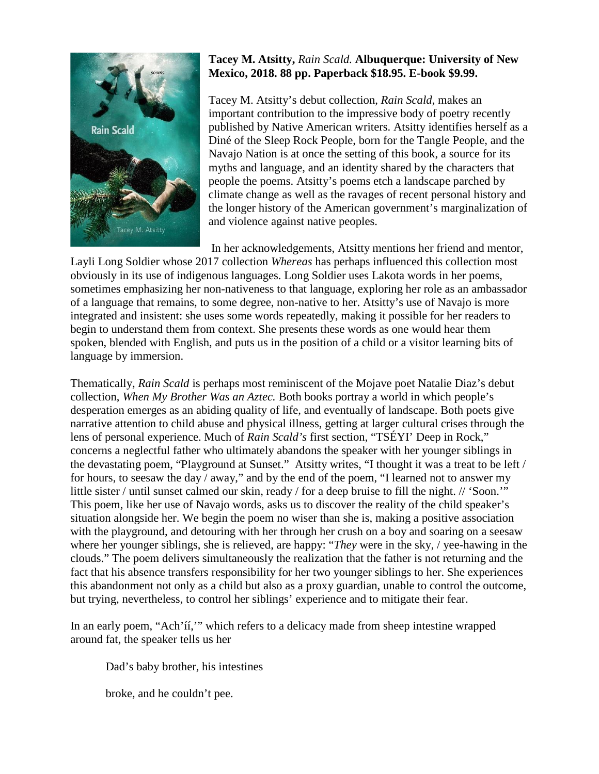

## **Tacey M. Atsitty,** *Rain Scald.* **Albuquerque: University of New Mexico, 2018. 88 pp. Paperback \$18.95. E-book \$9.99.**

Tacey M. Atsitty's debut collection, *Rain Scald*, makes an important contribution to the impressive body of poetry recently published by Native American writers. Atsitty identifies herself as a Diné of the Sleep Rock People, born for the Tangle People, and the Navajo Nation is at once the setting of this book, a source for its myths and language, and an identity shared by the characters that people the poems. Atsitty's poems etch a landscape parched by climate change as well as the ravages of recent personal history and the longer history of the American government's marginalization of and violence against native peoples.

In her acknowledgements, Atsitty mentions her friend and mentor,

Layli Long Soldier whose 2017 collection *Whereas* has perhaps influenced this collection most obviously in its use of indigenous languages. Long Soldier uses Lakota words in her poems, sometimes emphasizing her non-nativeness to that language, exploring her role as an ambassador of a language that remains, to some degree, non-native to her. Atsitty's use of Navajo is more integrated and insistent: she uses some words repeatedly, making it possible for her readers to begin to understand them from context. She presents these words as one would hear them spoken, blended with English, and puts us in the position of a child or a visitor learning bits of language by immersion.

Thematically, *Rain Scald* is perhaps most reminiscent of the Mojave poet Natalie Diaz's debut collection, *When My Brother Was an Aztec.* Both books portray a world in which people's desperation emerges as an abiding quality of life, and eventually of landscape. Both poets give narrative attention to child abuse and physical illness, getting at larger cultural crises through the lens of personal experience. Much of *Rain Scald's* first section, "TSÉYI' Deep in Rock," concerns a neglectful father who ultimately abandons the speaker with her younger siblings in the devastating poem, "Playground at Sunset." Atsitty writes, "I thought it was a treat to be left / for hours, to seesaw the day / away," and by the end of the poem, "I learned not to answer my little sister / until sunset calmed our skin, ready / for a deep bruise to fill the night. // 'Soon.'" This poem, like her use of Navajo words, asks us to discover the reality of the child speaker's situation alongside her. We begin the poem no wiser than she is, making a positive association with the playground, and detouring with her through her crush on a boy and soaring on a seesaw where her younger siblings, she is relieved, are happy: "*They* were in the sky, / yee-hawing in the clouds." The poem delivers simultaneously the realization that the father is not returning and the fact that his absence transfers responsibility for her two younger siblings to her. She experiences this abandonment not only as a child but also as a proxy guardian, unable to control the outcome, but trying, nevertheless, to control her siblings' experience and to mitigate their fear.

In an early poem, "Ach'íí," which refers to a delicacy made from sheep intestine wrapped around fat, the speaker tells us her

Dad's baby brother, his intestines

broke, and he couldn't pee.